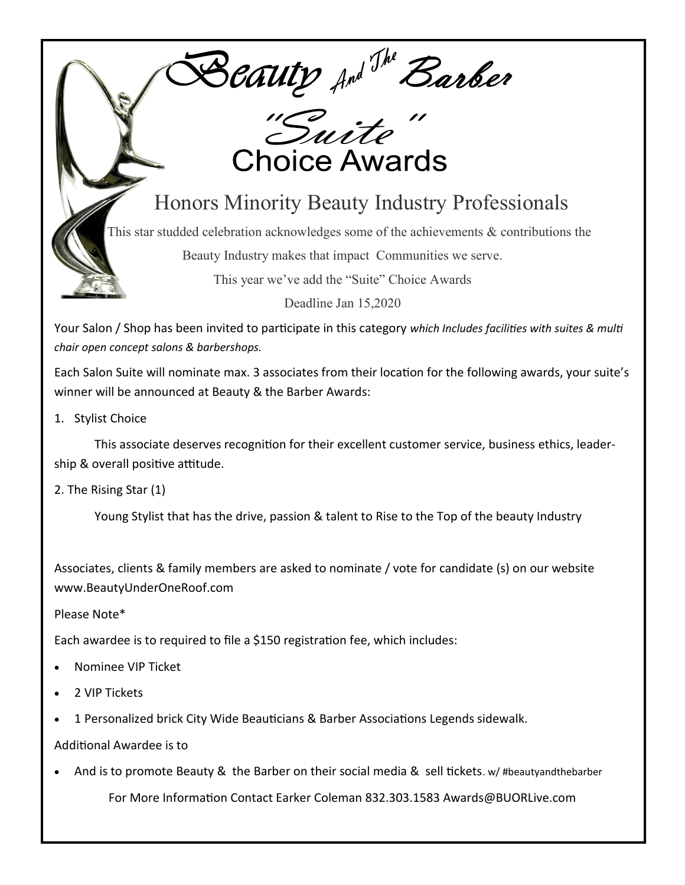Beauty And The Barber

## **Choice Awards**

## Honors Minority Beauty Industry Professionals

This star studded celebration acknowledges some of the achievements & contributions the

Beauty Industry makes that impact Communities we serve.

This year we've add the "Suite" Choice Awards

Deadline Jan 15,2020

Your Salon / Shop has been invited to participate in this category *which Includes facilities with suites & multi chair open concept salons & barbershops.*

Each Salon Suite will nominate max. 3 associates from their location for the following awards, your suite's winner will be announced at Beauty & the Barber Awards:

1. Stylist Choice

This associate deserves recognition for their excellent customer service, business ethics, leadership & overall positive attitude.

2. The Rising Star (1)

Young Stylist that has the drive, passion & talent to Rise to the Top of the beauty Industry

Associates, clients & family members are asked to nominate / vote for candidate (s) on our website www.BeautyUnderOneRoof.com

Please Note\*

Each awardee is to required to file a \$150 registration fee, which includes:

- Nominee VIP Ticket
- 2 VIP Tickets
- 1 Personalized brick City Wide Beauticians & Barber Associations Legends sidewalk.
- Additional Awardee is to
- And is to promote Beauty & the Barber on their social media & sell tickets. w/ #beautyandthebarber For More Information Contact Earker Coleman 832.303.1583 Awards@BUORLive.com